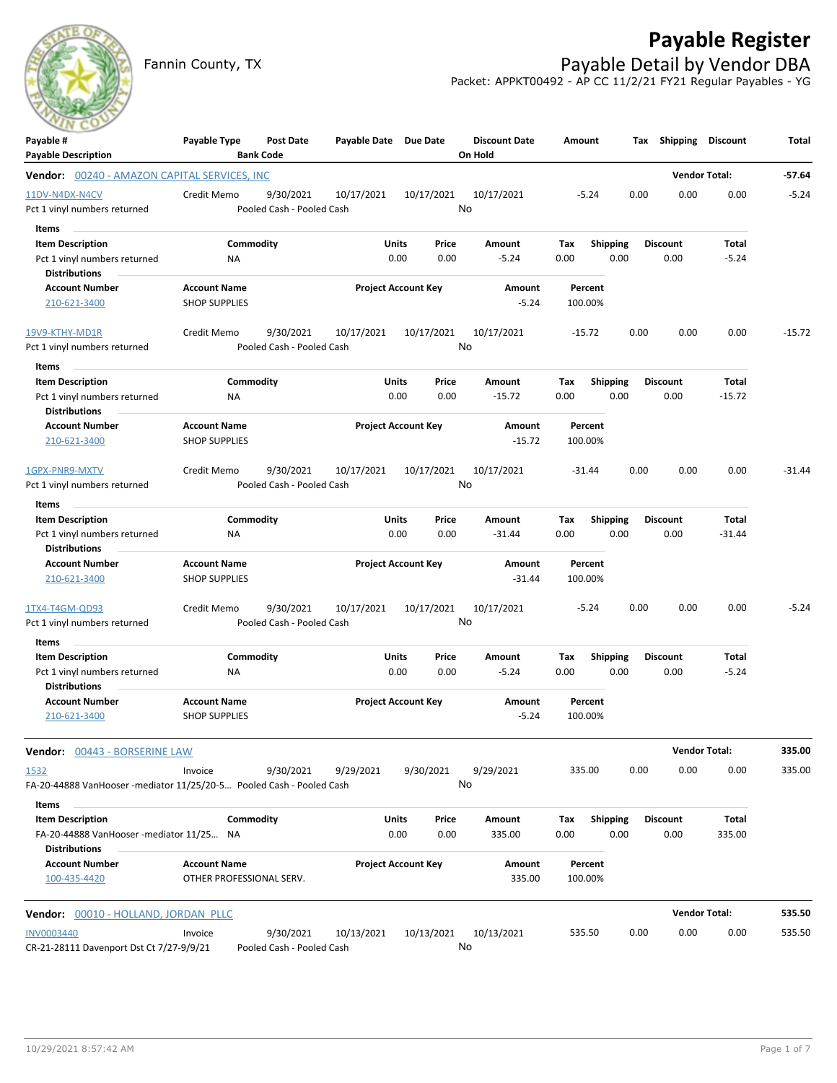

## **Payable Register**

Fannin County, TX **Payable Detail by Vendor DBA** Packet: APPKT00492 - AP CC 11/2/21 FY21 Regular Payables - YG

| Payable #<br><b>Payable Description</b>                                                     | Payable Type                                    | Post Date<br><b>Bank Code</b>          | Payable Date Due Date |                                |    | <b>Discount Date</b><br>On Hold | Amount             |                         |      | Tax Shipping            | <b>Discount</b>      | Total    |
|---------------------------------------------------------------------------------------------|-------------------------------------------------|----------------------------------------|-----------------------|--------------------------------|----|---------------------------------|--------------------|-------------------------|------|-------------------------|----------------------|----------|
| <b>Vendor: 00240 - AMAZON CAPITAL SERVICES, INC</b>                                         |                                                 |                                        |                       |                                |    |                                 |                    |                         |      |                         | <b>Vendor Total:</b> | -57.64   |
| 11DV-N4DX-N4CV<br>Pct 1 vinyl numbers returned                                              | Credit Memo                                     | 9/30/2021<br>Pooled Cash - Pooled Cash | 10/17/2021            | 10/17/2021                     | No | 10/17/2021                      | $-5.24$            |                         | 0.00 | 0.00                    | 0.00                 | $-5.24$  |
| Items<br><b>Item Description</b><br>Pct 1 vinyl numbers returned<br><b>Distributions</b>    | ΝA                                              | Commodity                              |                       | Units<br>Price<br>0.00<br>0.00 |    | Amount<br>$-5.24$               | Tax<br>0.00        | <b>Shipping</b><br>0.00 |      | <b>Discount</b><br>0.00 | Total<br>$-5.24$     |          |
| <b>Account Number</b><br>210-621-3400                                                       | <b>Account Name</b><br><b>SHOP SUPPLIES</b>     |                                        |                       | <b>Project Account Key</b>     |    | Amount<br>$-5.24$               | Percent<br>100.00% |                         |      |                         |                      |          |
| 19V9-KTHY-MD1R<br>Pct 1 vinyl numbers returned                                              | Credit Memo                                     | 9/30/2021<br>Pooled Cash - Pooled Cash | 10/17/2021            | 10/17/2021                     | No | 10/17/2021                      | $-15.72$           |                         | 0.00 | 0.00                    | 0.00                 | $-15.72$ |
| Items<br><b>Item Description</b><br>Pct 1 vinyl numbers returned<br><b>Distributions</b>    | <b>NA</b>                                       | Commodity                              |                       | Units<br>Price<br>0.00<br>0.00 |    | Amount<br>$-15.72$              | Tax<br>0.00        | <b>Shipping</b><br>0.00 |      | Discount<br>0.00        | Total<br>$-15.72$    |          |
| <b>Account Number</b><br>210-621-3400                                                       | <b>Account Name</b><br><b>SHOP SUPPLIES</b>     |                                        |                       | <b>Project Account Key</b>     |    | Amount<br>$-15.72$              | Percent<br>100.00% |                         |      |                         |                      |          |
| 1GPX-PNR9-MXTV<br>Pct 1 vinyl numbers returned                                              | Credit Memo                                     | 9/30/2021<br>Pooled Cash - Pooled Cash | 10/17/2021            | 10/17/2021                     | No | 10/17/2021                      | $-31.44$           |                         | 0.00 | 0.00                    | 0.00                 | $-31.44$ |
| Items                                                                                       |                                                 |                                        |                       |                                |    |                                 |                    |                         |      |                         |                      |          |
| <b>Item Description</b><br>Pct 1 vinyl numbers returned<br><b>Distributions</b>             | ΝA                                              | Commodity                              |                       | Units<br>Price<br>0.00<br>0.00 |    | Amount<br>$-31.44$              | Tax<br>0.00        | <b>Shipping</b><br>0.00 |      | <b>Discount</b><br>0.00 | Total<br>$-31.44$    |          |
| <b>Account Number</b><br>210-621-3400                                                       | <b>Account Name</b><br><b>SHOP SUPPLIES</b>     |                                        |                       | <b>Project Account Key</b>     |    | Amount<br>$-31.44$              | Percent<br>100.00% |                         |      |                         |                      |          |
| 1TX4-T4GM-QD93<br>Pct 1 vinyl numbers returned                                              | Credit Memo                                     | 9/30/2021<br>Pooled Cash - Pooled Cash | 10/17/2021            | 10/17/2021                     | No | 10/17/2021                      | $-5.24$            |                         | 0.00 | 0.00                    | 0.00                 | $-5.24$  |
| Items                                                                                       |                                                 |                                        |                       |                                |    |                                 |                    |                         |      |                         |                      |          |
| <b>Item Description</b><br>Pct 1 vinyl numbers returned<br><b>Distributions</b>             | Commodity<br><b>NA</b>                          |                                        | Units                 | Price<br>0.00<br>0.00          |    | Amount<br>$-5.24$               | Tax<br>0.00        | <b>Shipping</b><br>0.00 |      | <b>Discount</b><br>0.00 | Total<br>$-5.24$     |          |
| <b>Account Number</b><br>210-621-3400                                                       | <b>Account Name</b><br><b>SHOP SUPPLIES</b>     |                                        |                       | <b>Project Account Key</b>     |    | <b>Amount</b><br>$-5.24$        | Percent<br>100.00% |                         |      |                         |                      |          |
| Vendor: 00443 - BORSERINE LAW                                                               |                                                 |                                        |                       |                                |    |                                 |                    |                         |      | <b>Vendor Total:</b>    |                      | 335.00   |
| 1532<br>FA-20-44888 VanHooser -mediator 11/25/20-5 Pooled Cash - Pooled Cash                | Invoice                                         | 9/30/2021                              | 9/29/2021             | 9/30/2021                      | No | 9/29/2021                       | 335.00             |                         | 0.00 | 0.00                    | 0.00                 | 335.00   |
| Items                                                                                       |                                                 |                                        |                       |                                |    |                                 |                    |                         |      |                         |                      |          |
| <b>Item Description</b><br>FA-20-44888 VanHooser -mediator 11/25 NA<br><b>Distributions</b> | Commodity                                       |                                        |                       | Units<br>Price<br>0.00<br>0.00 |    | Amount<br>335.00                | Тах<br>0.00        | Shipping<br>0.00        |      | <b>Discount</b><br>0.00 | Total<br>335.00      |          |
| <b>Account Number</b><br>100-435-4420                                                       | <b>Account Name</b><br>OTHER PROFESSIONAL SERV. |                                        |                       | <b>Project Account Key</b>     |    | Amount<br>335.00                | Percent<br>100.00% |                         |      |                         |                      |          |
| Vendor: 00010 - HOLLAND, JORDAN PLLC                                                        |                                                 |                                        |                       |                                |    |                                 |                    |                         |      |                         | <b>Vendor Total:</b> | 535.50   |
| <b>INV0003440</b><br>CR-21-28111 Davenport Dst Ct 7/27-9/9/21                               | Invoice                                         | 9/30/2021<br>Pooled Cash - Pooled Cash | 10/13/2021            | 10/13/2021                     | No | 10/13/2021                      | 535.50             |                         | 0.00 | 0.00                    | 0.00                 | 535.50   |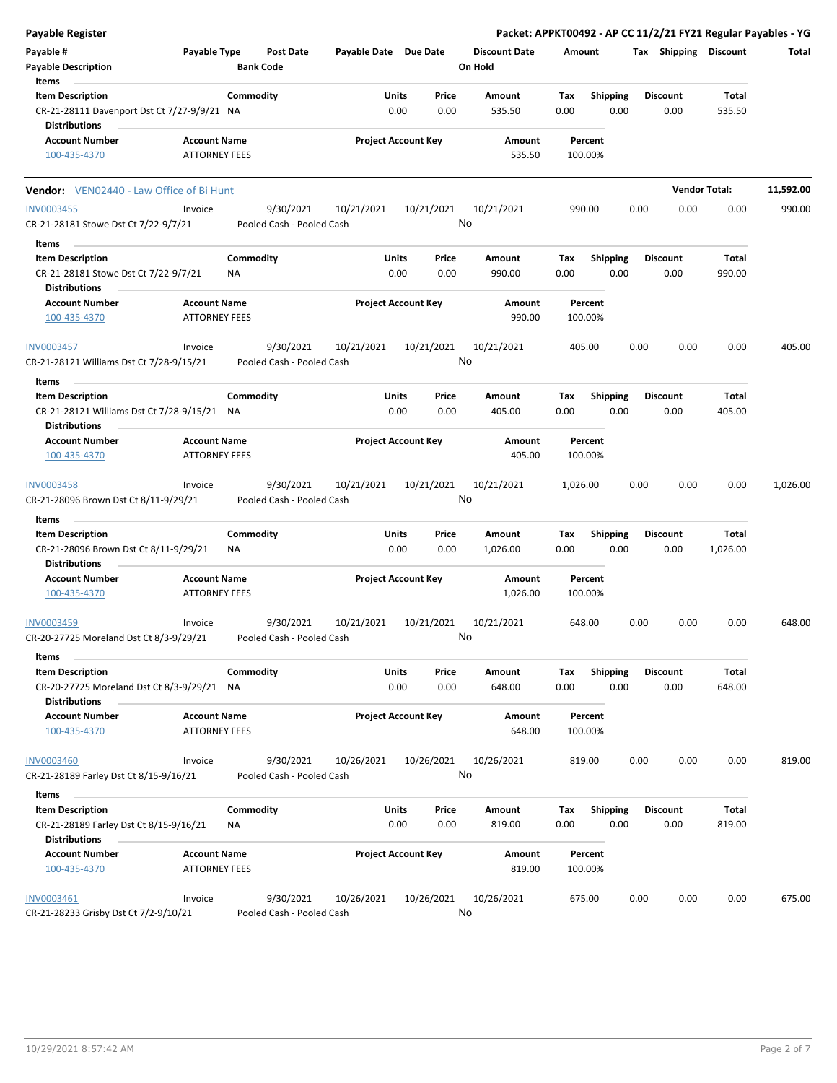| <b>Payable Register</b>                                                |                                             |                  |                           |                            |       |                  |                      |          |                    |      |                       |                      | Packet: APPKT00492 - AP CC 11/2/21 FY21 Regular Payables - YG |
|------------------------------------------------------------------------|---------------------------------------------|------------------|---------------------------|----------------------------|-------|------------------|----------------------|----------|--------------------|------|-----------------------|----------------------|---------------------------------------------------------------|
| Payable #                                                              | Payable Type                                |                  | Post Date                 | Payable Date Due Date      |       |                  | <b>Discount Date</b> | Amount   |                    |      | Tax Shipping Discount |                      | Total                                                         |
| <b>Payable Description</b>                                             |                                             | <b>Bank Code</b> |                           |                            |       |                  | On Hold              |          |                    |      |                       |                      |                                                               |
| Items                                                                  |                                             |                  |                           |                            |       |                  |                      |          |                    |      |                       |                      |                                                               |
| <b>Item Description</b>                                                |                                             | Commodity        |                           |                            | Units | Price            | Amount               | Tax      | <b>Shipping</b>    |      | Discount              | Total                |                                                               |
| CR-21-28111 Davenport Dst Ct 7/27-9/9/21 NA<br><b>Distributions</b>    |                                             |                  |                           |                            | 0.00  | 0.00             | 535.50               | 0.00     | 0.00               |      | 0.00                  | 535.50               |                                                               |
| <b>Account Number</b>                                                  | <b>Account Name</b>                         |                  |                           | <b>Project Account Key</b> |       |                  | Amount               |          | Percent            |      |                       |                      |                                                               |
| 100-435-4370                                                           | <b>ATTORNEY FEES</b>                        |                  |                           |                            |       |                  | 535.50               |          | 100.00%            |      |                       |                      |                                                               |
| <b>Vendor:</b> VEN02440 - Law Office of Bi Hunt                        |                                             |                  |                           |                            |       |                  |                      |          |                    |      |                       | <b>Vendor Total:</b> | 11,592.00                                                     |
| <b>INV0003455</b>                                                      | Invoice                                     |                  | 9/30/2021                 | 10/21/2021                 |       | 10/21/2021<br>No | 10/21/2021           |          | 990.00             | 0.00 | 0.00                  | 0.00                 | 990.00                                                        |
| CR-21-28181 Stowe Dst Ct 7/22-9/7/21                                   |                                             |                  | Pooled Cash - Pooled Cash |                            |       |                  |                      |          |                    |      |                       |                      |                                                               |
| Items                                                                  |                                             |                  |                           |                            |       |                  |                      |          |                    |      |                       |                      |                                                               |
| <b>Item Description</b>                                                |                                             | Commodity        |                           |                            | Units | Price            | Amount               | Тах      | Shipping           |      | <b>Discount</b>       | Total                |                                                               |
| CR-21-28181 Stowe Dst Ct 7/22-9/7/21<br><b>Distributions</b>           |                                             | <b>NA</b>        |                           |                            | 0.00  | 0.00             | 990.00               | 0.00     | 0.00               |      | 0.00                  | 990.00               |                                                               |
| <b>Account Number</b>                                                  | <b>Account Name</b>                         |                  |                           | <b>Project Account Key</b> |       |                  | Amount               |          | Percent            |      |                       |                      |                                                               |
| 100-435-4370                                                           | <b>ATTORNEY FEES</b>                        |                  |                           |                            |       |                  | 990.00               |          | 100.00%            |      |                       |                      |                                                               |
| <b>INV0003457</b>                                                      | Invoice                                     |                  | 9/30/2021                 | 10/21/2021                 |       | 10/21/2021       | 10/21/2021           |          | 405.00             | 0.00 | 0.00                  | 0.00                 | 405.00                                                        |
| CR-21-28121 Williams Dst Ct 7/28-9/15/21                               |                                             |                  | Pooled Cash - Pooled Cash |                            |       | No               |                      |          |                    |      |                       |                      |                                                               |
| Items                                                                  |                                             | Commodity        |                           |                            | Units | Price            |                      | Tax      |                    |      |                       | Total                |                                                               |
| <b>Item Description</b><br>CR-21-28121 Williams Dst Ct 7/28-9/15/21 NA |                                             |                  |                           |                            | 0.00  | 0.00             | Amount<br>405.00     | 0.00     | Shipping<br>0.00   |      | Discount<br>0.00      | 405.00               |                                                               |
| <b>Distributions</b>                                                   |                                             |                  |                           |                            |       |                  |                      |          |                    |      |                       |                      |                                                               |
| <b>Account Number</b><br>100-435-4370                                  | <b>Account Name</b><br><b>ATTORNEY FEES</b> |                  |                           | <b>Project Account Key</b> |       |                  | Amount<br>405.00     |          | Percent<br>100.00% |      |                       |                      |                                                               |
|                                                                        |                                             |                  |                           |                            |       |                  |                      |          |                    |      |                       |                      |                                                               |
| INV0003458                                                             | Invoice                                     |                  | 9/30/2021                 | 10/21/2021                 |       | 10/21/2021       | 10/21/2021           | 1,026.00 |                    | 0.00 | 0.00                  | 0.00                 | 1,026.00                                                      |
| CR-21-28096 Brown Dst Ct 8/11-9/29/21                                  |                                             |                  | Pooled Cash - Pooled Cash |                            |       |                  | No                   |          |                    |      |                       |                      |                                                               |
| Items                                                                  |                                             |                  |                           |                            |       |                  |                      |          |                    |      |                       |                      |                                                               |
| <b>Item Description</b>                                                |                                             | Commodity        |                           |                            | Units | Price            | Amount               | Tax      | <b>Shipping</b>    |      | <b>Discount</b>       | Total                |                                                               |
| CR-21-28096 Brown Dst Ct 8/11-9/29/21                                  |                                             | ΝA               |                           |                            | 0.00  | 0.00             | 1,026.00             | 0.00     | 0.00               |      | 0.00                  | 1,026.00             |                                                               |
| <b>Distributions</b>                                                   |                                             |                  |                           |                            |       |                  |                      |          |                    |      |                       |                      |                                                               |
| <b>Account Number</b>                                                  | <b>Account Name</b>                         |                  |                           | <b>Project Account Key</b> |       |                  | Amount               |          | Percent            |      |                       |                      |                                                               |
| 100-435-4370                                                           | <b>ATTORNEY FEES</b>                        |                  |                           |                            |       |                  | 1,026.00             |          | 100.00%            |      |                       |                      |                                                               |
| INV0003459                                                             | Invoice                                     |                  | 9/30/2021                 | 10/21/2021                 |       | 10/21/2021       | 10/21/2021           |          | 648.00             | 0.00 | 0.00                  | 0.00                 | 648.00                                                        |
| CR-20-27725 Moreland Dst Ct 8/3-9/29/21                                |                                             |                  | Pooled Cash - Pooled Cash |                            |       | No               |                      |          |                    |      |                       |                      |                                                               |
| Items<br><b>Item Description</b>                                       |                                             | Commodity        |                           |                            | Units | Price            | Amount               | Tax      | <b>Shipping</b>    |      | <b>Discount</b>       | Total                |                                                               |
| CR-20-27725 Moreland Dst Ct 8/3-9/29/21 NA<br><b>Distributions</b>     |                                             |                  |                           |                            | 0.00  | 0.00             | 648.00               | 0.00     | 0.00               |      | 0.00                  | 648.00               |                                                               |
| <b>Account Number</b>                                                  | <b>Account Name</b>                         |                  |                           | <b>Project Account Key</b> |       |                  | Amount               |          | Percent            |      |                       |                      |                                                               |
| 100-435-4370                                                           | <b>ATTORNEY FEES</b>                        |                  |                           |                            |       |                  | 648.00               |          | 100.00%            |      |                       |                      |                                                               |
| <b>INV0003460</b>                                                      | Invoice                                     |                  | 9/30/2021                 | 10/26/2021                 |       | 10/26/2021       | 10/26/2021           |          | 819.00             | 0.00 | 0.00                  | 0.00                 | 819.00                                                        |
| CR-21-28189 Farley Dst Ct 8/15-9/16/21                                 |                                             |                  | Pooled Cash - Pooled Cash |                            |       |                  | No                   |          |                    |      |                       |                      |                                                               |
| Items                                                                  |                                             |                  |                           |                            |       |                  |                      |          |                    |      |                       |                      |                                                               |
| <b>Item Description</b>                                                |                                             | Commodity        |                           |                            | Units | Price            | Amount               | Tax      | <b>Shipping</b>    |      | <b>Discount</b>       | Total                |                                                               |
| CR-21-28189 Farley Dst Ct 8/15-9/16/21<br><b>Distributions</b>         |                                             | NA               |                           |                            | 0.00  | 0.00             | 819.00               | 0.00     | 0.00               |      | 0.00                  | 819.00               |                                                               |
| <b>Account Number</b>                                                  | <b>Account Name</b>                         |                  |                           | <b>Project Account Key</b> |       |                  | Amount               |          | Percent            |      |                       |                      |                                                               |
| 100-435-4370                                                           | <b>ATTORNEY FEES</b>                        |                  |                           |                            |       |                  | 819.00               |          | 100.00%            |      |                       |                      |                                                               |
| INV0003461                                                             | Invoice                                     |                  | 9/30/2021                 | 10/26/2021                 |       | 10/26/2021       | 10/26/2021           |          | 675.00             | 0.00 | 0.00                  | 0.00                 | 675.00                                                        |
| CR-21-28233 Grisby Dst Ct 7/2-9/10/21                                  |                                             |                  | Pooled Cash - Pooled Cash |                            |       | No               |                      |          |                    |      |                       |                      |                                                               |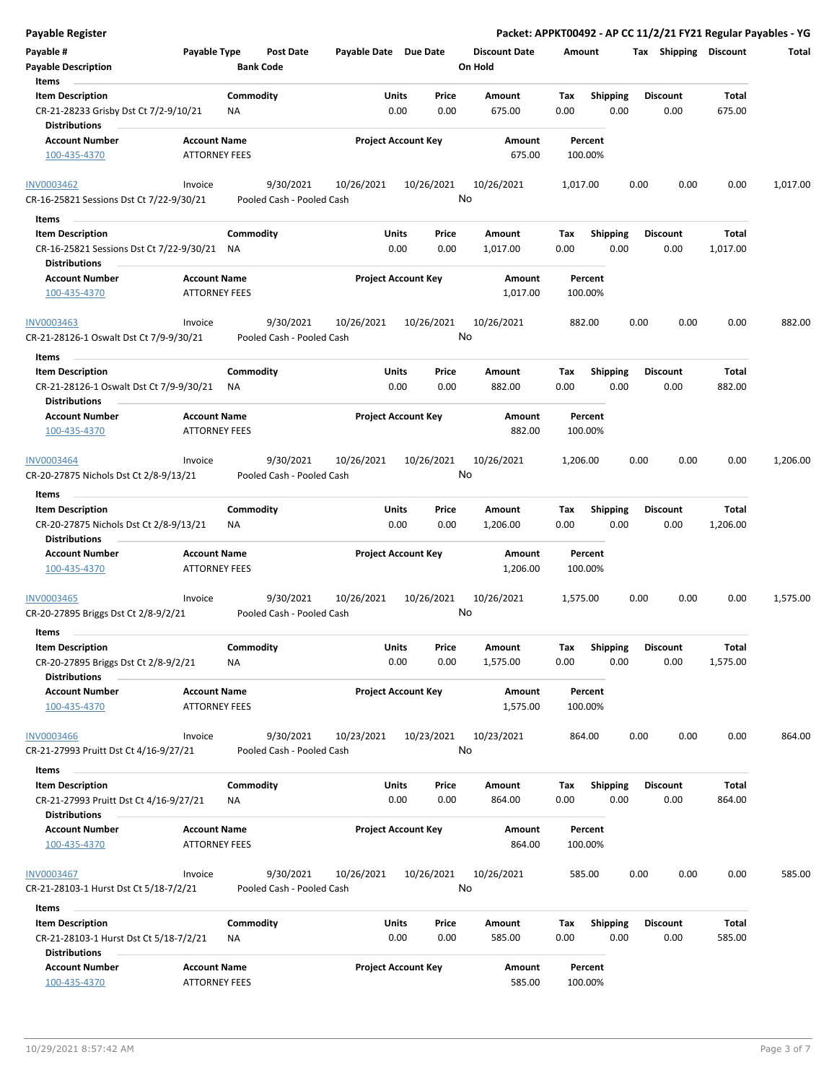| <b>Payable Register</b>                                                                              |                                             |                                        |                       |                            |                                 |                    |                         | Packet: APPKT00492 - AP CC 11/2/21 FY21 Regular Payables - YG |                          |          |
|------------------------------------------------------------------------------------------------------|---------------------------------------------|----------------------------------------|-----------------------|----------------------------|---------------------------------|--------------------|-------------------------|---------------------------------------------------------------|--------------------------|----------|
| Payable #<br><b>Payable Description</b>                                                              | Payable Type                                | <b>Post Date</b><br><b>Bank Code</b>   | Payable Date Due Date |                            | <b>Discount Date</b><br>On Hold | Amount             |                         | Tax Shipping Discount                                         |                          | Total    |
| Items<br><b>Item Description</b><br>CR-21-28233 Grisby Dst Ct 7/2-9/10/21<br>Distributions           |                                             | Commodity<br>ΝA                        | Units                 | Price<br>0.00<br>0.00      | Amount<br>675.00                | Тах<br>0.00        | Shipping<br>0.00        | <b>Discount</b><br>0.00                                       | Total<br>675.00          |          |
| <b>Account Number</b><br>100-435-4370                                                                | <b>Account Name</b><br><b>ATTORNEY FEES</b> |                                        |                       | <b>Project Account Key</b> | Amount<br>675.00                | Percent<br>100.00% |                         |                                                               |                          |          |
| <b>INV0003462</b><br>CR-16-25821 Sessions Dst Ct 7/22-9/30/21                                        | Invoice                                     | 9/30/2021<br>Pooled Cash - Pooled Cash | 10/26/2021            | 10/26/2021                 | 10/26/2021<br>No                | 1,017.00           |                         | 0.00<br>0.00                                                  | 0.00                     | 1,017.00 |
| Items<br><b>Item Description</b><br>CR-16-25821 Sessions Dst Ct 7/22-9/30/21<br><b>Distributions</b> |                                             | Commodity<br>NA                        | Units                 | Price<br>0.00<br>0.00      | Amount<br>1,017.00              | Tax<br>0.00        | <b>Shipping</b><br>0.00 | <b>Discount</b><br>0.00                                       | Total<br>1,017.00        |          |
| <b>Account Number</b><br>100-435-4370                                                                | <b>Account Name</b><br><b>ATTORNEY FEES</b> |                                        |                       | <b>Project Account Key</b> | Amount<br>1,017.00              | Percent<br>100.00% |                         |                                                               |                          |          |
| <b>INV0003463</b><br>CR-21-28126-1 Oswalt Dst Ct 7/9-9/30/21                                         | Invoice                                     | 9/30/2021<br>Pooled Cash - Pooled Cash | 10/26/2021            | 10/26/2021                 | 10/26/2021<br>No                | 882.00             |                         | 0.00<br>0.00                                                  | 0.00                     | 882.00   |
| Items<br><b>Item Description</b><br>CR-21-28126-1 Oswalt Dst Ct 7/9-9/30/21<br><b>Distributions</b>  |                                             | Commodity<br>ΝA                        | Units                 | Price<br>0.00<br>0.00      | Amount<br>882.00                | Tax<br>0.00        | <b>Shipping</b><br>0.00 | <b>Discount</b><br>0.00                                       | Total<br>882.00          |          |
| <b>Account Number</b><br>100-435-4370                                                                | <b>Account Name</b><br><b>ATTORNEY FEES</b> |                                        |                       | <b>Project Account Key</b> | Amount<br>882.00                | Percent<br>100.00% |                         |                                                               |                          |          |
| INV0003464<br>CR-20-27875 Nichols Dst Ct 2/8-9/13/21<br>Items                                        | Invoice                                     | 9/30/2021<br>Pooled Cash - Pooled Cash | 10/26/2021            | 10/26/2021                 | 10/26/2021<br>No                | 1,206.00           |                         | 0.00<br>0.00                                                  | 0.00                     | 1,206.00 |
| <b>Item Description</b><br>CR-20-27875 Nichols Dst Ct 2/8-9/13/21<br><b>Distributions</b>            |                                             | Commodity<br>NA                        | Units                 | Price<br>0.00<br>0.00      | Amount<br>1,206.00              | Tax<br>0.00        | <b>Shipping</b><br>0.00 | <b>Discount</b><br>0.00                                       | Total<br>1,206.00        |          |
| <b>Account Number</b><br>100-435-4370                                                                | <b>Account Name</b><br><b>ATTORNEY FEES</b> |                                        |                       | <b>Project Account Key</b> | Amount<br>1,206.00              | Percent<br>100.00% |                         |                                                               |                          |          |
| INV0003465<br>CR-20-27895 Briggs Dst Ct 2/8-9/2/21<br>Items                                          | Invoice                                     | 9/30/2021<br>Pooled Cash - Pooled Cash | 10/26/2021            | 10/26/2021                 | 10/26/2021<br>No                | 1,575.00           |                         | 0.00<br>0.00                                                  | 0.00                     | 1,575.00 |
| <b>Item Description</b><br>CR-20-27895 Briggs Dst Ct 2/8-9/2/21<br><b>Distributions</b>              |                                             | Commodity<br><b>NA</b>                 | Units                 | Price<br>0.00<br>0.00      | Amount<br>1,575.00              | Tax<br>0.00        | Shipping<br>0.00        | <b>Discount</b><br>0.00                                       | <b>Total</b><br>1,575.00 |          |
| <b>Account Number</b><br>100-435-4370                                                                | <b>Account Name</b><br><b>ATTORNEY FEES</b> |                                        |                       | <b>Project Account Key</b> | Amount<br>1,575.00              | Percent<br>100.00% |                         |                                                               |                          |          |
| <b>INV0003466</b><br>CR-21-27993 Pruitt Dst Ct 4/16-9/27/21                                          | Invoice                                     | 9/30/2021<br>Pooled Cash - Pooled Cash | 10/23/2021            | 10/23/2021                 | 10/23/2021<br>No                | 864.00             |                         | 0.00<br>0.00                                                  | 0.00                     | 864.00   |
| Items                                                                                                |                                             | Commodity                              | Units                 |                            |                                 |                    |                         | <b>Discount</b>                                               |                          |          |
| <b>Item Description</b><br>CR-21-27993 Pruitt Dst Ct 4/16-9/27/21<br>Distributions                   |                                             | ΝA                                     |                       | Price<br>0.00<br>0.00      | Amount<br>864.00                | Тах<br>0.00        | Shipping<br>0.00        | 0.00                                                          | Total<br>864.00          |          |
| <b>Account Number</b><br>100-435-4370                                                                | <b>Account Name</b><br><b>ATTORNEY FEES</b> |                                        |                       | <b>Project Account Key</b> | Amount<br>864.00                | Percent<br>100.00% |                         |                                                               |                          |          |
| <b>INV0003467</b><br>CR-21-28103-1 Hurst Dst Ct 5/18-7/2/21                                          | Invoice                                     | 9/30/2021<br>Pooled Cash - Pooled Cash | 10/26/2021            | 10/26/2021                 | 10/26/2021<br>No                | 585.00             |                         | 0.00<br>0.00                                                  | 0.00                     | 585.00   |
| Items<br><b>Item Description</b><br>CR-21-28103-1 Hurst Dst Ct 5/18-7/2/21                           |                                             | Commodity<br>ΝA                        | Units                 | Price<br>0.00<br>0.00      | Amount<br>585.00                | Tax<br>0.00        | <b>Shipping</b><br>0.00 | Discount<br>0.00                                              | Total<br>585.00          |          |
| <b>Distributions</b><br><b>Account Number</b><br>100-435-4370                                        | <b>Account Name</b><br><b>ATTORNEY FEES</b> |                                        |                       | <b>Project Account Key</b> | Amount<br>585.00                | Percent<br>100.00% |                         |                                                               |                          |          |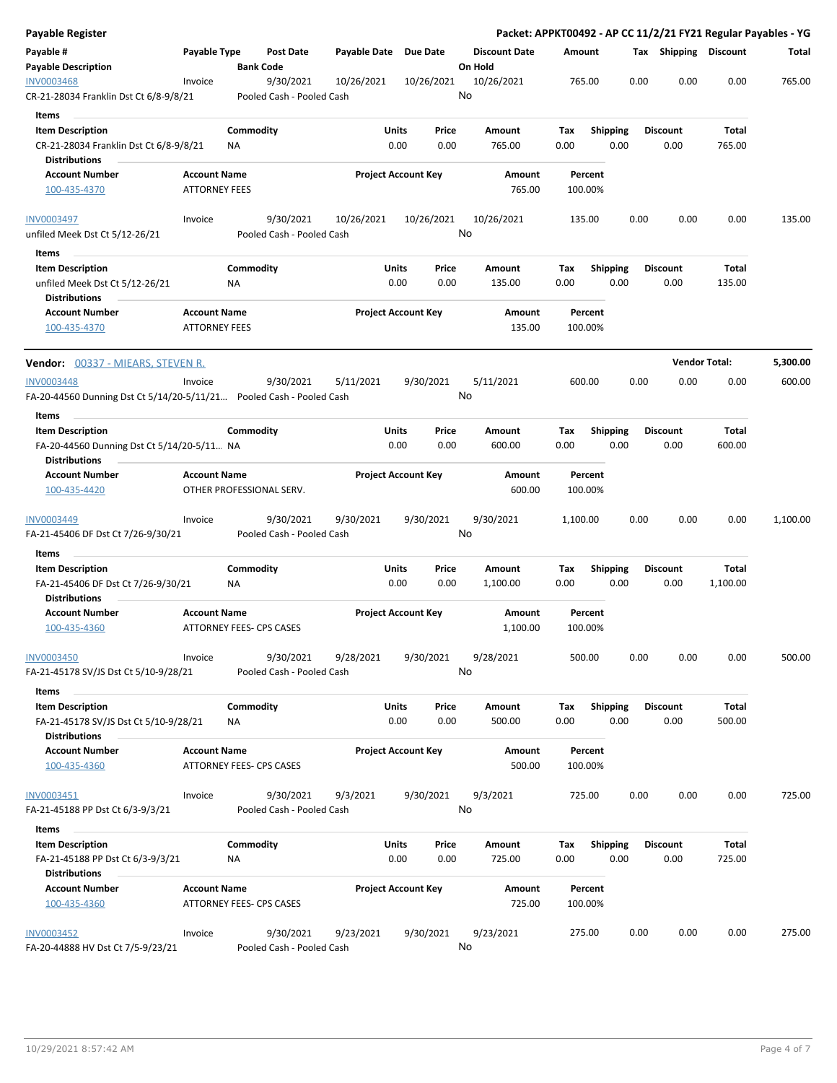| Payable Register                                                     |                      |                 |                                        |              |                            |               |                      |             |                         |      |                         |                      | Packet: APPKT00492 - AP CC 11/2/21 FY21 Regular Payables - YG |
|----------------------------------------------------------------------|----------------------|-----------------|----------------------------------------|--------------|----------------------------|---------------|----------------------|-------------|-------------------------|------|-------------------------|----------------------|---------------------------------------------------------------|
| Payable #                                                            | Payable Type         |                 | Post Date                              | Payable Date | <b>Due Date</b>            |               | <b>Discount Date</b> | Amount      |                         |      | Tax Shipping Discount   |                      | Total                                                         |
| <b>Payable Description</b>                                           |                      |                 | <b>Bank Code</b>                       |              |                            |               | On Hold              |             |                         |      |                         |                      |                                                               |
| <b>INV0003468</b><br>CR-21-28034 Franklin Dst Ct 6/8-9/8/21          | Invoice              |                 | 9/30/2021<br>Pooled Cash - Pooled Cash | 10/26/2021   |                            | 10/26/2021    | 10/26/2021<br>No     |             | 765.00                  | 0.00 | 0.00                    | 0.00                 | 765.00                                                        |
| Items                                                                |                      |                 |                                        |              |                            |               |                      |             |                         |      |                         |                      |                                                               |
| <b>Item Description</b>                                              |                      | Commodity       |                                        |              | Units                      | Price         | Amount               | Tax         | <b>Shipping</b>         |      | <b>Discount</b>         | Total                |                                                               |
| CR-21-28034 Franklin Dst Ct 6/8-9/8/21                               |                      | ΝA              |                                        |              | 0.00                       | 0.00          | 765.00               | 0.00        | 0.00                    |      | 0.00                    | 765.00               |                                                               |
| <b>Distributions</b>                                                 |                      |                 |                                        |              |                            |               |                      |             |                         |      |                         |                      |                                                               |
| <b>Account Number</b>                                                | <b>Account Name</b>  |                 |                                        |              | <b>Project Account Key</b> |               | Amount               |             | Percent                 |      |                         |                      |                                                               |
| 100-435-4370                                                         | <b>ATTORNEY FEES</b> |                 |                                        |              |                            |               | 765.00               |             | 100.00%                 |      |                         |                      |                                                               |
| <b>INV0003497</b>                                                    | Invoice              |                 | 9/30/2021                              | 10/26/2021   |                            | 10/26/2021    | 10/26/2021           |             | 135.00                  | 0.00 | 0.00                    | 0.00                 | 135.00                                                        |
| unfiled Meek Dst Ct 5/12-26/21                                       |                      |                 | Pooled Cash - Pooled Cash              |              |                            |               | No                   |             |                         |      |                         |                      |                                                               |
| Items                                                                |                      |                 |                                        |              |                            |               |                      |             |                         |      |                         |                      |                                                               |
| <b>Item Description</b>                                              |                      | Commodity       |                                        |              | Units                      | Price         | Amount               | Tax         | <b>Shipping</b>         |      | <b>Discount</b>         | Total                |                                                               |
| unfiled Meek Dst Ct 5/12-26/21<br><b>Distributions</b>               |                      | ΝA              |                                        |              | 0.00                       | 0.00          | 135.00               | 0.00        |                         | 0.00 | 0.00                    | 135.00               |                                                               |
| <b>Account Number</b>                                                | <b>Account Name</b>  |                 |                                        |              | <b>Project Account Key</b> |               | Amount               |             | Percent                 |      |                         |                      |                                                               |
| 100-435-4370                                                         | <b>ATTORNEY FEES</b> |                 |                                        |              |                            |               | 135.00               |             | 100.00%                 |      |                         |                      |                                                               |
| <b>Vendor:</b> 00337 - MIEARS, STEVEN R.                             |                      |                 |                                        |              |                            |               |                      |             |                         |      |                         | <b>Vendor Total:</b> | 5,300.00                                                      |
| <b>INV0003448</b>                                                    | Invoice              |                 | 9/30/2021                              | 5/11/2021    |                            | 9/30/2021     | 5/11/2021            |             | 600.00                  | 0.00 | 0.00                    | 0.00                 | 600.00                                                        |
| FA-20-44560 Dunning Dst Ct 5/14/20-5/11/21 Pooled Cash - Pooled Cash |                      |                 |                                        |              |                            |               | No                   |             |                         |      |                         |                      |                                                               |
| Items                                                                |                      |                 |                                        |              |                            |               |                      |             |                         |      |                         |                      |                                                               |
| <b>Item Description</b>                                              |                      | Commodity       |                                        |              | Units                      | Price         | Amount               | Tax         | <b>Shipping</b>         |      | <b>Discount</b>         | <b>Total</b>         |                                                               |
| FA-20-44560 Dunning Dst Ct 5/14/20-5/11 NA<br><b>Distributions</b>   |                      |                 |                                        |              | 0.00                       | 0.00          | 600.00               | 0.00        | 0.00                    |      | 0.00                    | 600.00               |                                                               |
| <b>Account Number</b>                                                | <b>Account Name</b>  |                 |                                        |              | <b>Project Account Key</b> |               | Amount               |             | Percent                 |      |                         |                      |                                                               |
| 100-435-4420                                                         |                      |                 | OTHER PROFESSIONAL SERV.               |              |                            |               | 600.00               |             | 100.00%                 |      |                         |                      |                                                               |
| INV0003449                                                           | Invoice              |                 | 9/30/2021                              | 9/30/2021    |                            | 9/30/2021     | 9/30/2021            | 1,100.00    |                         | 0.00 | 0.00                    | 0.00                 | 1,100.00                                                      |
| FA-21-45406 DF Dst Ct 7/26-9/30/21                                   |                      |                 | Pooled Cash - Pooled Cash              |              |                            |               | No                   |             |                         |      |                         |                      |                                                               |
| Items                                                                |                      |                 |                                        |              |                            |               |                      |             |                         |      |                         |                      |                                                               |
| <b>Item Description</b>                                              |                      | Commodity       |                                        |              | Units                      | Price         | <b>Amount</b>        | Tax         | <b>Shipping</b>         |      | <b>Discount</b>         | Total                |                                                               |
| FA-21-45406 DF Dst Ct 7/26-9/30/21<br><b>Distributions</b>           |                      | ΝA              |                                        |              | 0.00                       | 0.00          | 1,100.00             | 0.00        |                         | 0.00 | 0.00                    | 1,100.00             |                                                               |
| <b>Account Number</b><br>100-435-4360                                | <b>Account Name</b>  |                 | ATTORNEY FEES- CPS CASES               |              | <b>Project Account Key</b> |               | Amount<br>1,100.00   |             | Percent<br>100.00%      |      |                         |                      |                                                               |
|                                                                      |                      |                 |                                        |              |                            |               |                      |             |                         |      |                         |                      |                                                               |
| <b>INV0003450</b><br>FA-21-45178 SV/JS Dst Ct 5/10-9/28/21           | Invoice              |                 | 9/30/2021<br>Pooled Cash - Pooled Cash | 9/28/2021    |                            | 9/30/2021     | 9/28/2021<br>No      |             | 500.00                  | 0.00 | 0.00                    | 0.00                 | 500.00                                                        |
| Items                                                                |                      |                 |                                        |              |                            |               |                      |             |                         |      |                         |                      |                                                               |
| <b>Item Description</b><br>FA-21-45178 SV/JS Dst Ct 5/10-9/28/21     |                      | Commodity<br>NA |                                        |              | Units<br>0.00              | Price<br>0.00 | Amount<br>500.00     | Tax<br>0.00 | <b>Shipping</b><br>0.00 |      | <b>Discount</b><br>0.00 | Total<br>500.00      |                                                               |
| <b>Distributions</b>                                                 |                      |                 |                                        |              |                            |               |                      |             |                         |      |                         |                      |                                                               |
| <b>Account Number</b><br>100-435-4360                                | <b>Account Name</b>  |                 | ATTORNEY FEES- CPS CASES               |              | <b>Project Account Key</b> |               | Amount<br>500.00     |             | Percent<br>100.00%      |      |                         |                      |                                                               |
| INV0003451                                                           | Invoice              |                 | 9/30/2021                              | 9/3/2021     |                            | 9/30/2021     | 9/3/2021             |             | 725.00                  | 0.00 | 0.00                    | 0.00                 | 725.00                                                        |
| FA-21-45188 PP Dst Ct 6/3-9/3/21                                     |                      |                 | Pooled Cash - Pooled Cash              |              |                            |               | No                   |             |                         |      |                         |                      |                                                               |
| Items                                                                |                      |                 |                                        |              |                            |               |                      |             |                         |      |                         |                      |                                                               |
| <b>Item Description</b><br>FA-21-45188 PP Dst Ct 6/3-9/3/21          |                      | Commodity<br>ΝA |                                        |              | Units<br>0.00              | Price<br>0.00 | Amount<br>725.00     | Tax<br>0.00 | Shipping<br>0.00        |      | <b>Discount</b><br>0.00 | Total<br>725.00      |                                                               |
| <b>Distributions</b>                                                 |                      |                 |                                        |              |                            |               |                      |             |                         |      |                         |                      |                                                               |
| <b>Account Number</b><br>100-435-4360                                | <b>Account Name</b>  |                 | ATTORNEY FEES- CPS CASES               |              | <b>Project Account Key</b> |               | Amount<br>725.00     |             | Percent<br>100.00%      |      |                         |                      |                                                               |
| INV0003452                                                           | Invoice              |                 | 9/30/2021                              | 9/23/2021    |                            | 9/30/2021     | 9/23/2021            |             | 275.00                  | 0.00 | 0.00                    | 0.00                 | 275.00                                                        |
| FA-20-44888 HV Dst Ct 7/5-9/23/21                                    |                      |                 | Pooled Cash - Pooled Cash              |              |                            |               | No                   |             |                         |      |                         |                      |                                                               |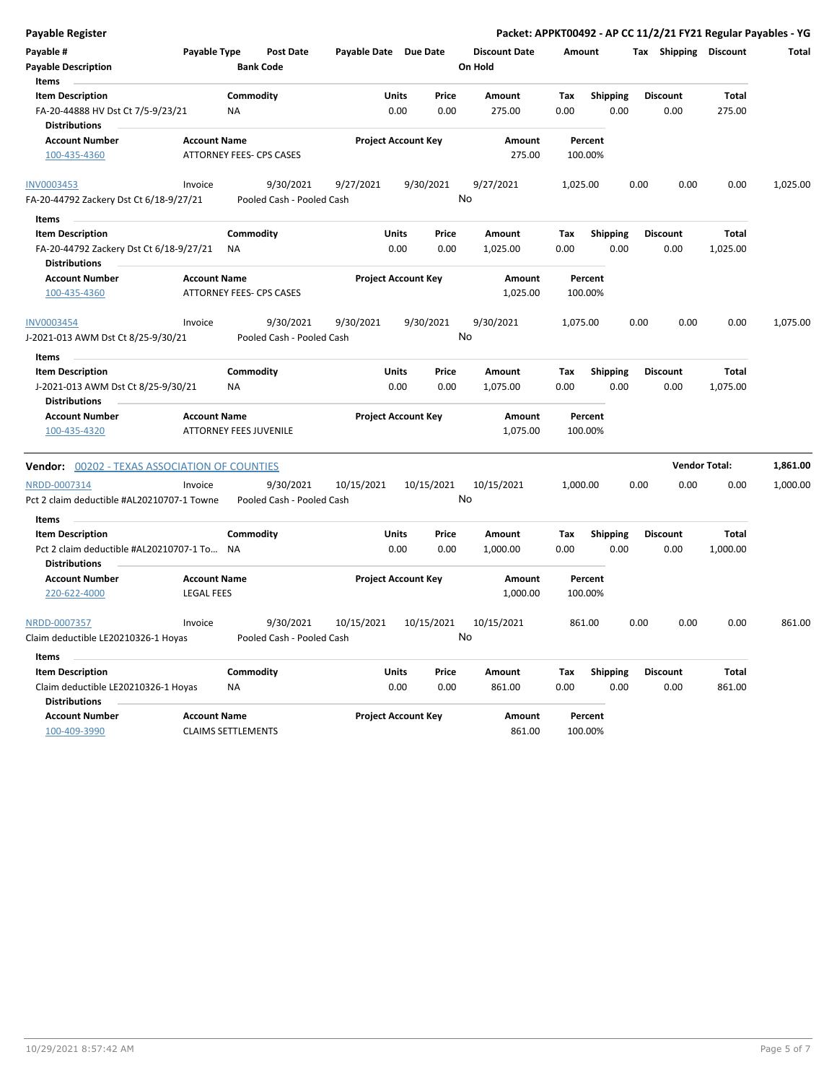| Payable Register                                                                     |                                                      |                        |                                        |                            |                            |               |                                 |             |                         |      |                         |                          | Packet: APPKT00492 - AP CC 11/2/21 FY21 Regular Payables - YG |
|--------------------------------------------------------------------------------------|------------------------------------------------------|------------------------|----------------------------------------|----------------------------|----------------------------|---------------|---------------------------------|-------------|-------------------------|------|-------------------------|--------------------------|---------------------------------------------------------------|
| Payable #<br><b>Payable Description</b>                                              | Payable Type                                         |                        | <b>Post Date</b><br><b>Bank Code</b>   | Payable Date Due Date      |                            |               | <b>Discount Date</b><br>On Hold | Amount      |                         |      | Tax Shipping Discount   |                          | Total                                                         |
| Items                                                                                |                                                      |                        |                                        |                            |                            |               |                                 |             |                         |      |                         |                          |                                                               |
| <b>Item Description</b><br>FA-20-44888 HV Dst Ct 7/5-9/23/21<br><b>Distributions</b> |                                                      | Commodity<br><b>NA</b> |                                        |                            | <b>Units</b><br>0.00       | Price<br>0.00 | Amount<br>275.00                | Tax<br>0.00 | <b>Shipping</b><br>0.00 |      | <b>Discount</b><br>0.00 | <b>Total</b><br>275.00   |                                                               |
| <b>Account Number</b><br>100-435-4360                                                | <b>Account Name</b>                                  |                        | ATTORNEY FEES- CPS CASES               |                            | <b>Project Account Key</b> |               | Amount<br>275.00                |             | Percent<br>100.00%      |      |                         |                          |                                                               |
| <b>INV0003453</b>                                                                    | Invoice                                              |                        | 9/30/2021                              | 9/27/2021                  |                            | 9/30/2021     | 9/27/2021                       | 1,025.00    |                         | 0.00 | 0.00                    | 0.00                     | 1,025.00                                                      |
| FA-20-44792 Zackery Dst Ct 6/18-9/27/21                                              |                                                      |                        | Pooled Cash - Pooled Cash              |                            |                            |               | No                              |             |                         |      |                         |                          |                                                               |
| Items                                                                                |                                                      |                        |                                        |                            |                            |               |                                 |             |                         |      |                         |                          |                                                               |
| <b>Item Description</b><br>FA-20-44792 Zackery Dst Ct 6/18-9/27/21                   |                                                      | Commodity<br><b>NA</b> |                                        |                            | Units<br>0.00              | Price<br>0.00 | Amount<br>1,025.00              | Tax<br>0.00 | <b>Shipping</b><br>0.00 |      | <b>Discount</b><br>0.00 | <b>Total</b><br>1,025.00 |                                                               |
| <b>Distributions</b><br><b>Account Number</b><br>100-435-4360                        | <b>Account Name</b>                                  |                        | ATTORNEY FEES- CPS CASES               |                            | <b>Project Account Key</b> |               | Amount<br>1,025.00              |             | Percent<br>100.00%      |      |                         |                          |                                                               |
|                                                                                      |                                                      |                        |                                        |                            |                            |               |                                 |             |                         |      |                         |                          |                                                               |
| <b>INV0003454</b><br>J-2021-013 AWM Dst Ct 8/25-9/30/21                              | Invoice                                              |                        | 9/30/2021<br>Pooled Cash - Pooled Cash | 9/30/2021                  |                            | 9/30/2021     | 9/30/2021<br>No                 | 1,075.00    |                         | 0.00 | 0.00                    | 0.00                     | 1,075.00                                                      |
| <b>Items</b>                                                                         |                                                      |                        |                                        |                            |                            |               |                                 |             |                         |      |                         |                          |                                                               |
| <b>Item Description</b>                                                              |                                                      | Commodity              |                                        |                            | <b>Units</b>               | Price         | Amount                          | Tax         | <b>Shipping</b>         |      | <b>Discount</b>         | <b>Total</b>             |                                                               |
| J-2021-013 AWM Dst Ct 8/25-9/30/21<br><b>Distributions</b>                           |                                                      | <b>NA</b>              |                                        |                            | 0.00                       | 0.00          | 1,075.00                        | 0.00        | 0.00                    |      | 0.00                    | 1,075.00                 |                                                               |
| <b>Account Number</b><br>100-435-4320                                                | <b>Account Name</b><br><b>ATTORNEY FEES JUVENILE</b> |                        |                                        |                            | <b>Project Account Key</b> |               | Amount<br>1,075.00              |             | Percent<br>100.00%      |      |                         |                          |                                                               |
| <b>Vendor: 00202 - TEXAS ASSOCIATION OF COUNTIES</b>                                 |                                                      |                        |                                        |                            |                            |               |                                 |             |                         |      |                         | <b>Vendor Total:</b>     | 1,861.00                                                      |
| NRDD-0007314<br>Pct 2 claim deductible #AL20210707-1 Towne                           | Invoice                                              |                        | 9/30/2021<br>Pooled Cash - Pooled Cash | 10/15/2021                 |                            | 10/15/2021    | 10/15/2021<br>No                | 1,000.00    |                         | 0.00 | 0.00                    | 0.00                     | 1,000.00                                                      |
| Items<br><b>Item Description</b><br>Pct 2 claim deductible #AL20210707-1 To          |                                                      | Commodity<br>ΝA        |                                        |                            | Units<br>0.00              | Price<br>0.00 | Amount<br>1,000.00              | Tax<br>0.00 | <b>Shipping</b><br>0.00 |      | Discount<br>0.00        | <b>Total</b><br>1,000.00 |                                                               |
| <b>Distributions</b><br><b>Account Number</b>                                        | <b>Account Name</b>                                  |                        |                                        |                            | <b>Project Account Key</b> |               | Amount                          |             | Percent                 |      |                         |                          |                                                               |
| 220-622-4000                                                                         | <b>LEGAL FEES</b>                                    |                        |                                        |                            |                            |               | 1,000.00                        |             | 100.00%                 |      |                         |                          |                                                               |
| NRDD-0007357<br>Claim deductible LE20210326-1 Hoyas                                  | Invoice                                              |                        | 9/30/2021<br>Pooled Cash - Pooled Cash | 10/15/2021                 |                            | 10/15/2021    | 10/15/2021<br>No                |             | 861.00                  | 0.00 | 0.00                    | 0.00                     | 861.00                                                        |
| <b>Items</b>                                                                         |                                                      |                        |                                        |                            |                            |               |                                 |             |                         |      |                         |                          |                                                               |
| <b>Item Description</b>                                                              |                                                      | Commodity              |                                        |                            | Units                      | Price         | Amount                          | Tax         | <b>Shipping</b>         |      | <b>Discount</b>         | <b>Total</b>             |                                                               |
| Claim deductible LE20210326-1 Hoyas<br><b>Distributions</b>                          |                                                      | <b>NA</b>              |                                        |                            | 0.00                       | 0.00          | 861.00                          | 0.00        | 0.00                    |      | 0.00                    | 861.00                   |                                                               |
| <b>Account Number</b><br>100-409-3990                                                | <b>Account Name</b><br><b>CLAIMS SETTLEMENTS</b>     |                        |                                        | <b>Project Account Key</b> |                            |               | <b>Amount</b><br>861.00         |             | Percent<br>100.00%      |      |                         |                          |                                                               |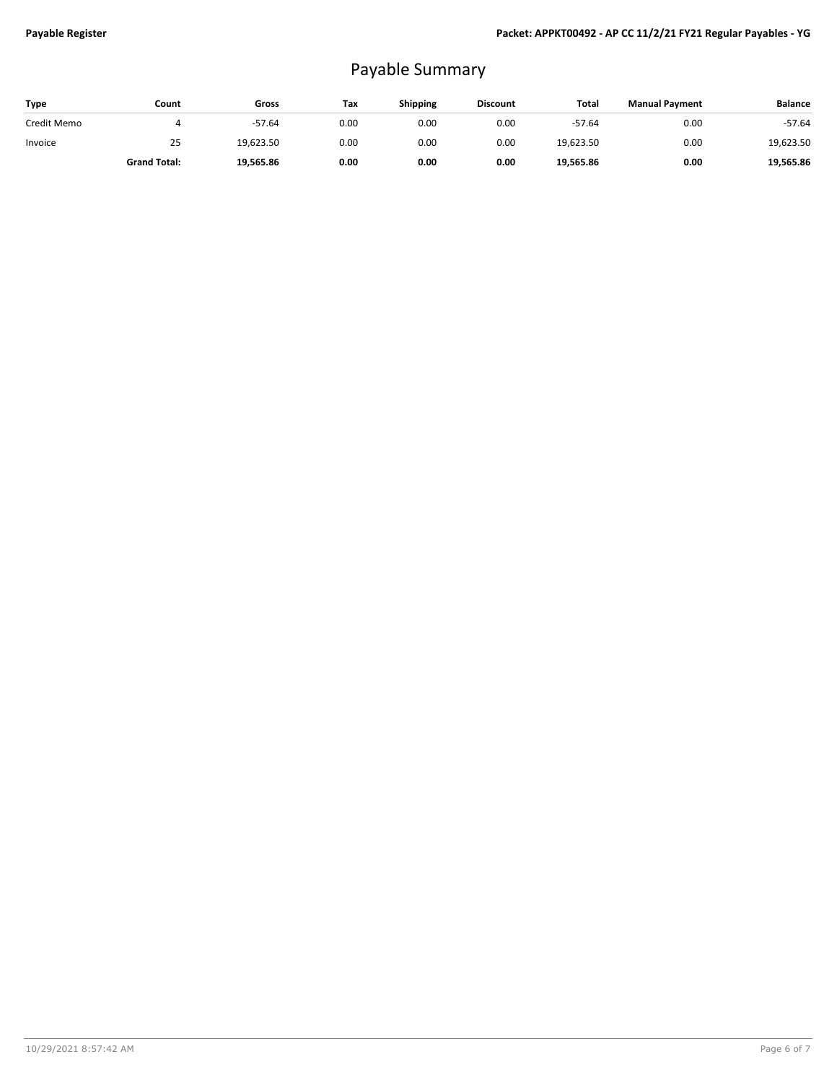## Payable Summary

| Type        | Count               | Gross     | Tax  | <b>Shipping</b> | <b>Discount</b> | Total     | <b>Manual Payment</b> | <b>Balance</b> |
|-------------|---------------------|-----------|------|-----------------|-----------------|-----------|-----------------------|----------------|
| Credit Memo |                     | $-57.64$  | 0.00 | 0.00            | 0.00            | $-57.64$  | 0.00                  | $-57.64$       |
| Invoice     | 25                  | 19,623.50 | 0.00 | 0.00            | 0.00            | 19,623.50 | 0.00                  | 19,623.50      |
|             | <b>Grand Total:</b> | 19,565.86 | 0.00 | 0.00            | 0.00            | 19,565.86 | 0.00                  | 19.565.86      |